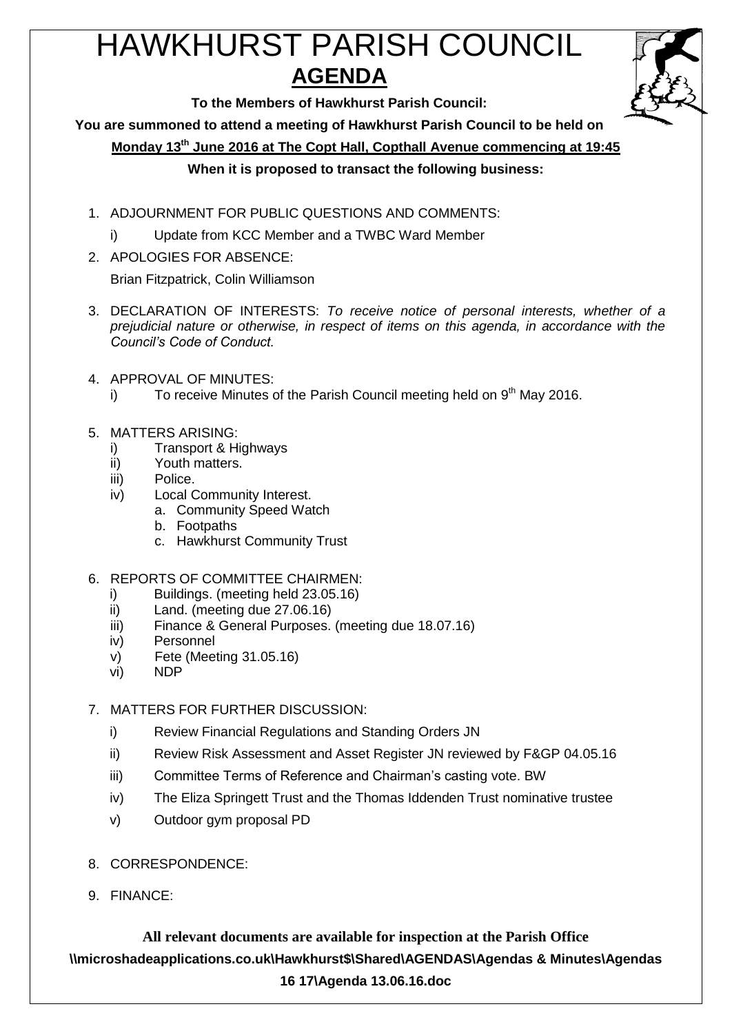# HAWKHURST PARISH COUNCIL **AGENDA**



**To the Members of Hawkhurst Parish Council:**

**You are summoned to attend a meeting of Hawkhurst Parish Council to be held on**

**Monday 13th June 2016 at The Copt Hall, Copthall Avenue commencing at 19:45**

# **When it is proposed to transact the following business:**

- 1. ADJOURNMENT FOR PUBLIC QUESTIONS AND COMMENTS:
	- i) Update from KCC Member and a TWBC Ward Member
- 2. APOLOGIES FOR ABSENCE:

Brian Fitzpatrick, Colin Williamson

- 3. DECLARATION OF INTERESTS: *To receive notice of personal interests, whether of a prejudicial nature or otherwise, in respect of items on this agenda, in accordance with the Council's Code of Conduct.*
- 4. APPROVAL OF MINUTES:
	- i) To receive Minutes of the Parish Council meeting held on  $9<sup>th</sup>$  May 2016.
- 5. MATTERS ARISING:
	- i) Transport & Highways
	- ii) Youth matters.
	- iii) Police.
	- iv) Local Community Interest.
		- a. Community Speed Watch
			- b. Footpaths
			- c. Hawkhurst Community Trust
- 6. REPORTS OF COMMITTEE CHAIRMEN:
	- i) Buildings. (meeting held 23.05.16)
	- ii) Land. (meeting due 27.06.16)
	- iii) Finance & General Purposes. (meeting due 18.07.16)
	- iv) Personnel
	- v) Fete (Meeting 31.05.16)
	- vi) NDP
- 7. MATTERS FOR FURTHER DISCUSSION:
	- i) Review Financial Regulations and Standing Orders JN
	- ii) Review Risk Assessment and Asset Register JN reviewed by F&GP 04.05.16
	- iii) Committee Terms of Reference and Chairman's casting vote. BW
	- iv) The Eliza Springett Trust and the Thomas Iddenden Trust nominative trustee
	- v) Outdoor gym proposal PD
- 8. CORRESPONDENCE:
- 9. FINANCE:

**All relevant documents are available for inspection at the Parish Office \\microshadeapplications.co.uk\Hawkhurst\$\Shared\AGENDAS\Agendas & Minutes\Agendas 16 17\Agenda 13.06.16.doc**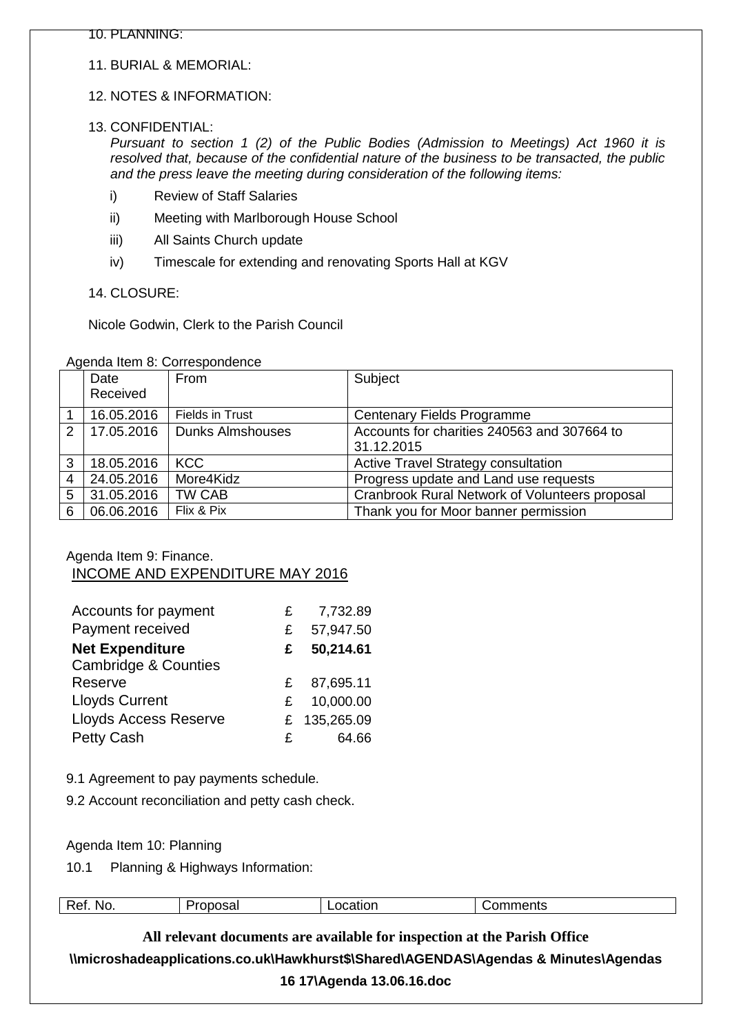11. BURIAL & MEMORIAL:

# 12. NOTES & INFORMATION:

13. CONFIDENTIAL:

*Pursuant to section 1 (2) of the Public Bodies (Admission to Meetings) Act 1960 it is resolved that, because of the confidential nature of the business to be transacted, the public and the press leave the meeting during consideration of the following items:*

- i) Review of Staff Salaries
- ii) Meeting with Marlborough House School
- iii) All Saints Church update
- iv) Timescale for extending and renovating Sports Hall at KGV

14. CLOSURE:

Nicole Godwin, Clerk to the Parish Council

|  |  | Agenda Item 8: Correspondence |
|--|--|-------------------------------|
|--|--|-------------------------------|

|                 | Date<br>Received | From                    | Subject                                                   |
|-----------------|------------------|-------------------------|-----------------------------------------------------------|
|                 | 16.05.2016       | <b>Fields in Trust</b>  | <b>Centenary Fields Programme</b>                         |
|                 | 2 17.05.2016     | <b>Dunks Almshouses</b> | Accounts for charities 240563 and 307664 to<br>31.12.2015 |
| 3               | 18.05.2016       | <b>KCC</b>              | <b>Active Travel Strategy consultation</b>                |
| 4               | 24.05.2016       | More4Kidz               | Progress update and Land use requests                     |
| $5\phantom{.0}$ | 31.05.2016       | TW CAB                  | Cranbrook Rural Network of Volunteers proposal            |
| 6               | 06.06.2016       | Flix & Pix              | Thank you for Moor banner permission                      |

# Agenda Item 9: Finance. INCOME AND EXPENDITURE MAY 2016

| Accounts for payment            | £ | 7,732.89     |
|---------------------------------|---|--------------|
| Payment received                | £ | 57,947.50    |
| <b>Net Expenditure</b>          | £ | 50,214.61    |
| <b>Cambridge &amp; Counties</b> |   |              |
| Reserve                         | £ | 87,695.11    |
| <b>Lloyds Current</b>           | £ | 10,000.00    |
| <b>Lloyds Access Reserve</b>    |   | £ 135,265.09 |
| Petty Cash                      | £ | 64.66        |

- 9.1 Agreement to pay payments schedule.
- 9.2 Account reconciliation and petty cash check.

Agenda Item 10: Planning

10.1 Planning & Highways Information:

| Ret.<br>NO. | Proposal | _ocatior<br>ില<br>________ | mmentsי<br>______ |
|-------------|----------|----------------------------|-------------------|
|             |          |                            |                   |

**All relevant documents are available for inspection at the Parish Office \\microshadeapplications.co.uk\Hawkhurst\$\Shared\AGENDAS\Agendas & Minutes\Agendas** 

#### **16 17\Agenda 13.06.16.doc**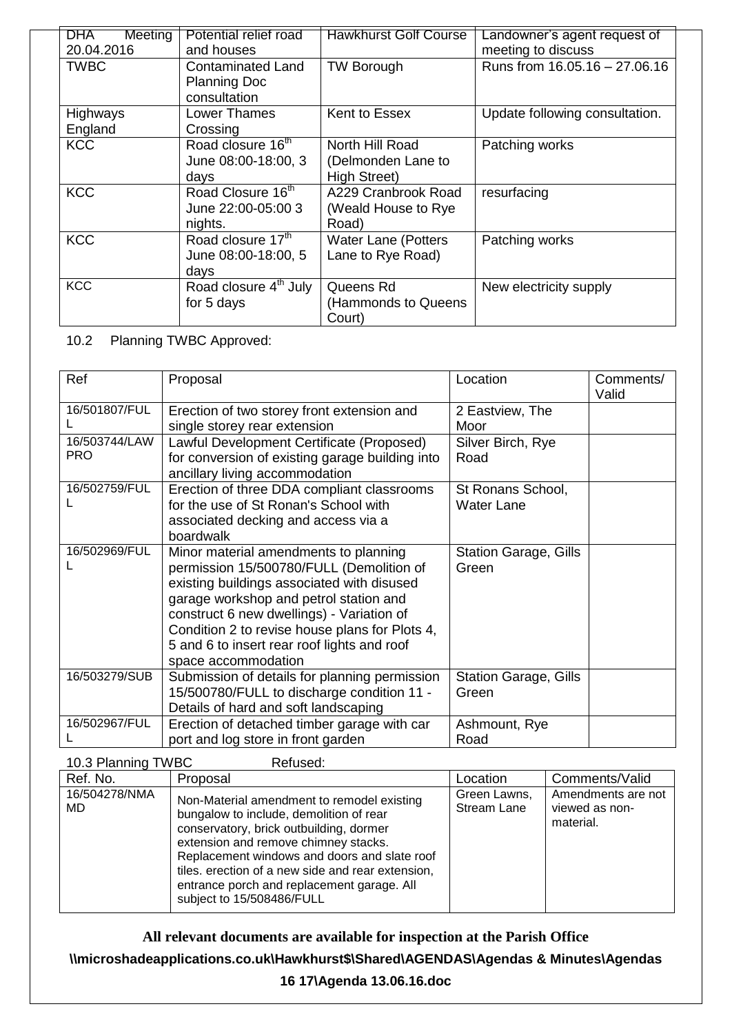| DHA<br>Meeting  | Potential relief road             | <b>Hawkhurst Golf Course</b> | Landowner's agent request of   |
|-----------------|-----------------------------------|------------------------------|--------------------------------|
| 20.04.2016      | and houses                        |                              | meeting to discuss             |
| <b>TWBC</b>     | <b>Contaminated Land</b>          | <b>TW Borough</b>            | Runs from 16.05.16 - 27.06.16  |
|                 | <b>Planning Doc</b>               |                              |                                |
|                 | consultation                      |                              |                                |
| <b>Highways</b> | Lower Thames                      | Kent to Essex                | Update following consultation. |
| England         | Crossing                          |                              |                                |
| <b>KCC</b>      | Road closure 16 <sup>th</sup>     | North Hill Road              | Patching works                 |
|                 | June 08:00-18:00, 3               | (Delmonden Lane to           |                                |
|                 | days                              | <b>High Street)</b>          |                                |
| <b>KCC</b>      | Road Closure 16th                 | A229 Cranbrook Road          | resurfacing                    |
|                 | June 22:00-05:00 3                | (Weald House to Rye          |                                |
|                 | nights.                           | Road)                        |                                |
| <b>KCC</b>      | Road closure 17th                 | <b>Water Lane (Potters</b>   | Patching works                 |
|                 | June 08:00-18:00, 5               | Lane to Rye Road)            |                                |
|                 | days                              |                              |                                |
| <b>KCC</b>      | Road closure 4 <sup>th</sup> July | Queens Rd                    | New electricity supply         |
|                 | for 5 days                        | (Hammonds to Queens          |                                |
|                 |                                   | Court)                       |                                |

# 10.2 Planning TWBC Approved:

| Ref                         | Proposal                                                                                                                                                                                                                                                                                                                                       | Location                               | Comments/<br>Valid |
|-----------------------------|------------------------------------------------------------------------------------------------------------------------------------------------------------------------------------------------------------------------------------------------------------------------------------------------------------------------------------------------|----------------------------------------|--------------------|
| 16/501807/FUL               | Erection of two storey front extension and<br>single storey rear extension                                                                                                                                                                                                                                                                     | 2 Eastview, The<br>Moor                |                    |
| 16/503744/LAW<br><b>PRO</b> | Lawful Development Certificate (Proposed)<br>for conversion of existing garage building into<br>ancillary living accommodation                                                                                                                                                                                                                 | Silver Birch, Rye<br>Road              |                    |
| 16/502759/FUL               | Erection of three DDA compliant classrooms<br>for the use of St Ronan's School with<br>associated decking and access via a<br>boardwalk                                                                                                                                                                                                        | St Ronans School,<br><b>Water Lane</b> |                    |
| 16/502969/FUL               | Minor material amendments to planning<br>permission 15/500780/FULL (Demolition of<br>existing buildings associated with disused<br>garage workshop and petrol station and<br>construct 6 new dwellings) - Variation of<br>Condition 2 to revise house plans for Plots 4,<br>5 and 6 to insert rear roof lights and roof<br>space accommodation | <b>Station Garage, Gills</b><br>Green  |                    |
| 16/503279/SUB               | Submission of details for planning permission<br>15/500780/FULL to discharge condition 11 -<br>Details of hard and soft landscaping                                                                                                                                                                                                            | <b>Station Garage, Gills</b><br>Green  |                    |
| 16/502967/FUL               | Erection of detached timber garage with car<br>port and log store in front garden                                                                                                                                                                                                                                                              | Ashmount, Rye<br>Road                  |                    |

| 10.3 Planning TWBC   | Refused:                                                                                                                                                                                                                                                                                                                                                 |                             |                                                   |
|----------------------|----------------------------------------------------------------------------------------------------------------------------------------------------------------------------------------------------------------------------------------------------------------------------------------------------------------------------------------------------------|-----------------------------|---------------------------------------------------|
| Ref. No.             | Proposal                                                                                                                                                                                                                                                                                                                                                 | Location                    | Comments/Valid                                    |
| 16/504278/NMA<br>MD. | Non-Material amendment to remodel existing<br>bungalow to include, demolition of rear<br>conservatory, brick outbuilding, dormer<br>extension and remove chimney stacks.<br>Replacement windows and doors and slate roof<br>tiles. erection of a new side and rear extension,<br>entrance porch and replacement garage. All<br>subject to 15/508486/FULL | Green Lawns,<br>Stream Lane | Amendments are not<br>viewed as non-<br>material. |

**All relevant documents are available for inspection at the Parish Office**

**\\microshadeapplications.co.uk\Hawkhurst\$\Shared\AGENDAS\Agendas & Minutes\Agendas** 

**16 17\Agenda 13.06.16.doc**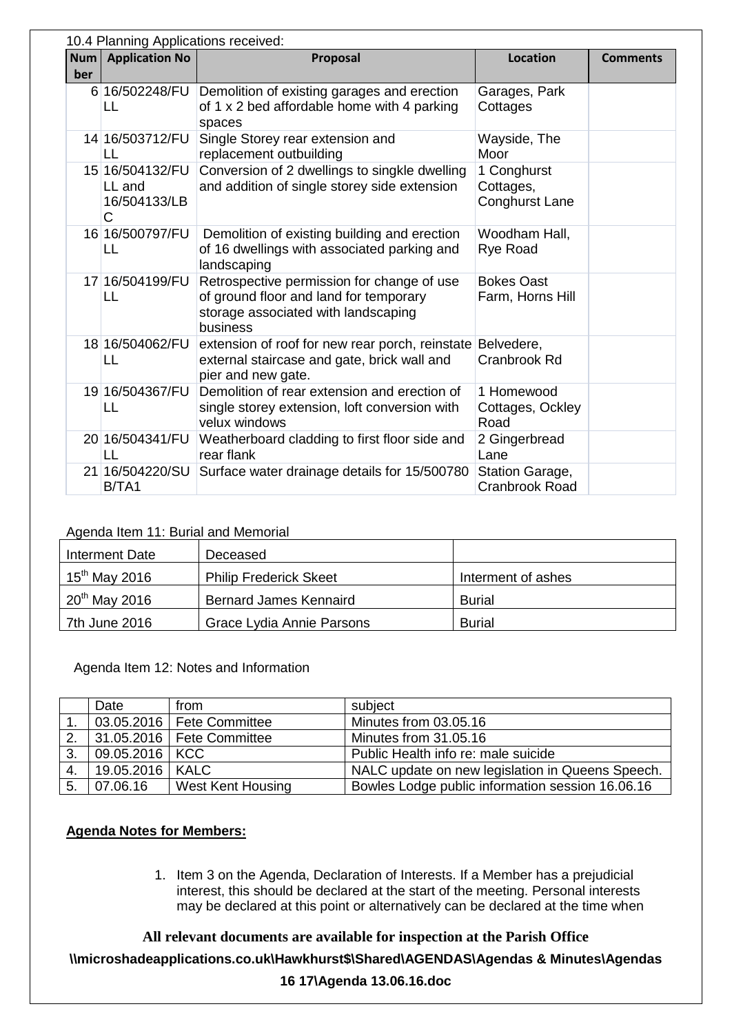|     | 10.4 Planning Applications received:           |                                                                                                                                         |                                            |                 |  |
|-----|------------------------------------------------|-----------------------------------------------------------------------------------------------------------------------------------------|--------------------------------------------|-----------------|--|
| Num | <b>Application No</b>                          | Proposal                                                                                                                                | <b>Location</b>                            | <b>Comments</b> |  |
| ber |                                                |                                                                                                                                         |                                            |                 |  |
|     | 6 16/502248/FU<br>LL                           | Demolition of existing garages and erection<br>of 1 x 2 bed affordable home with 4 parking<br>spaces                                    | Garages, Park<br>Cottages                  |                 |  |
|     | 14 16/503712/FU<br>LL                          | Single Storey rear extension and<br>replacement outbuilding                                                                             | Wayside, The<br>Moor                       |                 |  |
|     | 15 16/504132/FU<br>LL and<br>16/504133/LB<br>С | Conversion of 2 dwellings to singkle dwelling<br>and addition of single storey side extension                                           | 1 Conghurst<br>Cottages,<br>Conghurst Lane |                 |  |
|     | 16 16/500797/FU<br>LL                          | Demolition of existing building and erection<br>of 16 dwellings with associated parking and<br>landscaping                              | Woodham Hall,<br><b>Rye Road</b>           |                 |  |
|     | 17 16/504199/FU<br>LL                          | Retrospective permission for change of use<br>of ground floor and land for temporary<br>storage associated with landscaping<br>business | <b>Bokes Oast</b><br>Farm, Horns Hill      |                 |  |
|     | 18 16/504062/FU<br>LL                          | extension of roof for new rear porch, reinstate<br>external staircase and gate, brick wall and<br>pier and new gate.                    | Belvedere,<br>Cranbrook Rd                 |                 |  |
|     | 19 16/504367/FU<br>LL                          | Demolition of rear extension and erection of<br>single storey extension, loft conversion with<br>velux windows                          | 1 Homewood<br>Cottages, Ockley<br>Road     |                 |  |
|     | 20 16/504341/FU<br>$\mathsf{L}$                | Weatherboard cladding to first floor side and<br>rear flank                                                                             | 2 Gingerbread<br>Lane                      |                 |  |
|     | 21 16/504220/SU<br>B/TA1                       | Surface water drainage details for 15/500780                                                                                            | Station Garage,<br><b>Cranbrook Road</b>   |                 |  |

# Agenda Item 11: Burial and Memorial

| Interment Date     | Deceased                      |                    |
|--------------------|-------------------------------|--------------------|
| $15th$ May 2016    | <b>Philip Frederick Skeet</b> | Interment of ashes |
| $20^{th}$ May 2016 | <b>Bernard James Kennaird</b> | <b>Burial</b>      |
| 7th June 2016      | Grace Lydia Annie Parsons     | <b>Burial</b>      |

Agenda Item 12: Notes and Information

|    | Date              | from                        | subject                                          |
|----|-------------------|-----------------------------|--------------------------------------------------|
|    |                   | 03.05.2016   Fete Committee | Minutes from 03.05.16                            |
| 2. |                   | 31.05.2016   Fete Committee | Minutes from 31.05.16                            |
| 3. | 09.05.2016   KCC  |                             | Public Health info re: male suicide              |
| 4. | 19.05.2016   KALC |                             | NALC update on new legislation in Queens Speech. |
| 5. | 07.06.16          | <b>West Kent Housing</b>    | Bowles Lodge public information session 16.06.16 |

# **Agenda Notes for Members:**

1. Item 3 on the Agenda, Declaration of Interests. If a Member has a prejudicial interest, this should be declared at the start of the meeting. Personal interests may be declared at this point or alternatively can be declared at the time when

**All relevant documents are available for inspection at the Parish Office \\microshadeapplications.co.uk\Hawkhurst\$\Shared\AGENDAS\Agendas & Minutes\Agendas 16 17\Agenda 13.06.16.doc**